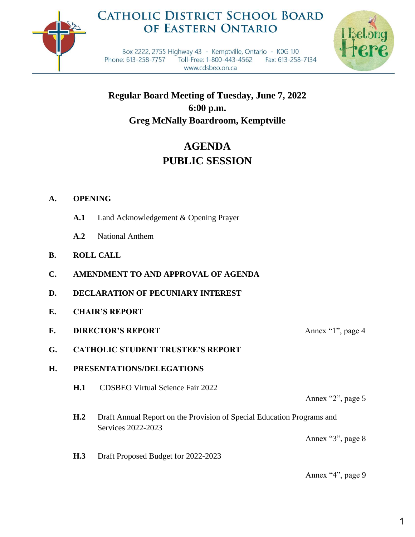

## **CATHOLIC DISTRICT SCHOOL BOARD** OF EASTERN ONTARIO



Box 2222, 2755 Highway 43 - Kemptville, Ontario - K0G 1J0 Phone: 613-258-7757 Toll-Free: 1-800-443-4562 Fax: 613-258-7134 www.cdsbeo.on.ca

**Regular Board Meeting of Tuesday, June 7, 2022 6:00 p.m. Greg McNally Boardroom, Kemptville**

# **AGENDA PUBLIC SESSION**

## **A. OPENING**

- **A.1** Land Acknowledgement & Opening Prayer
- **A.2** National Anthem
- **B. ROLL CALL**
- **C. AMENDMENT TO AND APPROVAL OF AGENDA**
- **D. DECLARATION OF PECUNIARY INTEREST**
- **E. CHAIR'S REPORT**
- **F. DIRECTOR'S REPORT** Annex "1", page 4
- **G. CATHOLIC STUDENT TRUSTEE'S REPORT**

## **H. PRESENTATIONS/DELEGATIONS**

**H.1** CDSBEO Virtual Science Fair 2022

Annex "2", page 5

**H.2** Draft Annual Report on the Provision of Special Education Programs and Services 2022-2023

Annex "3", page 8

**H.3** Draft Proposed Budget for 2022-2023

Annex "4", page 9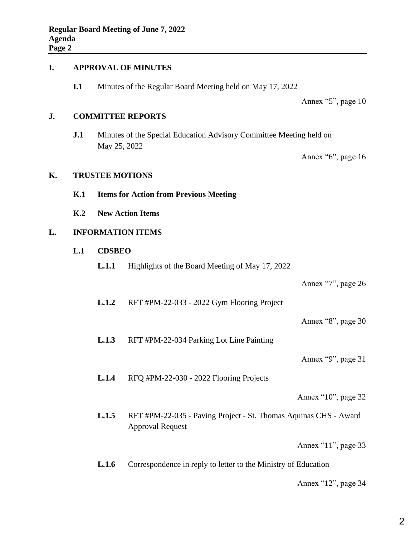#### **I. APPROVAL OF MINUTES**

**I.1** Minutes of the Regular Board Meeting held on May 17, 2022

Annex "5", page 10

### **J. COMMITTEE REPORTS**

**J.1** Minutes of the Special Education Advisory Committee Meeting held on May 25, 2022

Annex "6", page 16

#### **K. TRUSTEE MOTIONS**

- **K.1 Items for Action from Previous Meeting**
- **K.2 New Action Items**

## **L. INFORMATION ITEMS**

- **L.1 CDSBEO**
	- **L.1.1** Highlights of the Board Meeting of May 17, 2022

Annex "7", page 26

**L.1.2** RFT #PM-22-033 - 2022 Gym Flooring Project

Annex "8", page 30

**L.1.3** RFT #PM-22-034 Parking Lot Line Painting

Annex "9", page 31

**L.1.4** RFQ #PM-22-030 - 2022 Flooring Projects

Annex "10", page 32

**L.1.5** RFT #PM-22-035 - Paving Project - St. Thomas Aquinas CHS - Award Approval Request

Annex "11", page 33

**L.1.6** Correspondence in reply to letter to the Ministry of Education

Annex "12", page 34